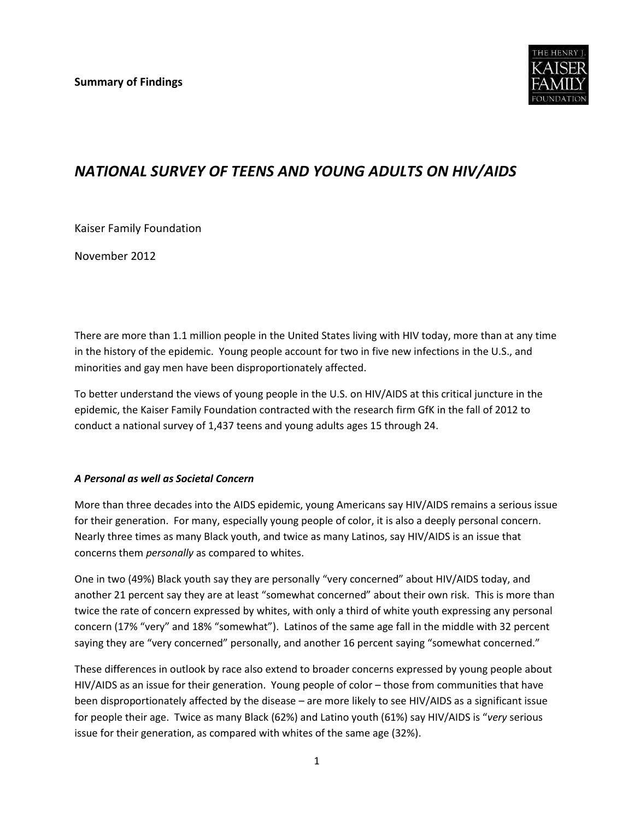

# *NATIONAL SURVEY OF TEENS AND YOUNG ADULTS ON HIV/AIDS*

Kaiser Family Foundation

November 2012

There are more than 1.1 million people in the United States living with HIV today, more than at any time in the history of the epidemic. Young people account for two in five new infections in the U.S., and minorities and gay men have been disproportionately affected.

To better understand the views of young people in the U.S. on HIV/AIDS at this critical juncture in the epidemic, the Kaiser Family Foundation contracted with the research firm GfK in the fall of 2012 to conduct a national survey of 1,437 teens and young adults ages 15 through 24.

#### *A Personal as well as Societal Concern*

More than three decades into the AIDS epidemic, young Americans say HIV/AIDS remains a serious issue for their generation. For many, especially young people of color, it is also a deeply personal concern. Nearly three times as many Black youth, and twice as many Latinos, say HIV/AIDS is an issue that concerns them *personally* as compared to whites.

One in two (49%) Black youth say they are personally "very concerned" about HIV/AIDS today, and another 21 percent say they are at least "somewhat concerned" about their own risk. This is more than twice the rate of concern expressed by whites, with only a third of white youth expressing any personal concern (17% "very" and 18% "somewhat"). Latinos of the same age fall in the middle with 32 percent saying they are "very concerned" personally, and another 16 percent saying "somewhat concerned."

These differences in outlook by race also extend to broader concerns expressed by young people about HIV/AIDS as an issue for their generation. Young people of color – those from communities that have been disproportionately affected by the disease – are more likely to see HIV/AIDS as a significant issue for people their age. Twice as many Black (62%) and Latino youth (61%) say HIV/AIDS is "*very* serious issue for their generation, as compared with whites of the same age (32%).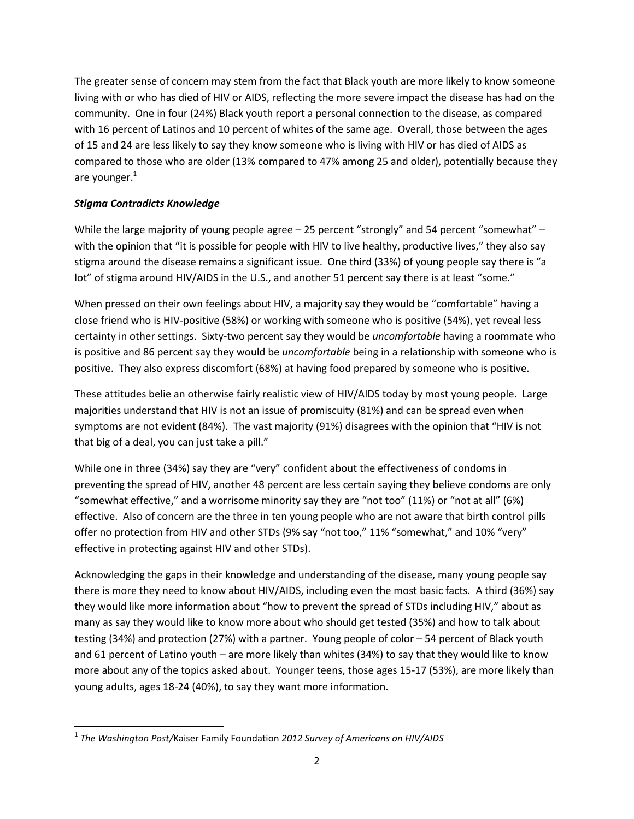The greater sense of concern may stem from the fact that Black youth are more likely to know someone living with or who has died of HIV or AIDS, reflecting the more severe impact the disease has had on the community. One in four (24%) Black youth report a personal connection to the disease, as compared with 16 percent of Latinos and 10 percent of whites of the same age. Overall, those between the ages of 15 and 24 are less likely to say they know someone who is living with HIV or has died of AIDS as compared to those who are older (13% compared to 47% among 25 and older), potentially because they are younger. $<sup>1</sup>$ </sup>

# *Stigma Contradicts Knowledge*

 $\overline{\phantom{a}}$ 

While the large majority of young people agree - 25 percent "strongly" and 54 percent "somewhat" with the opinion that "it is possible for people with HIV to live healthy, productive lives," they also say stigma around the disease remains a significant issue. One third (33%) of young people say there is "a lot" of stigma around HIV/AIDS in the U.S., and another 51 percent say there is at least "some."

When pressed on their own feelings about HIV, a majority say they would be "comfortable" having a close friend who is HIV-positive (58%) or working with someone who is positive (54%), yet reveal less certainty in other settings. Sixty-two percent say they would be *uncomfortable* having a roommate who is positive and 86 percent say they would be *uncomfortable* being in a relationship with someone who is positive. They also express discomfort (68%) at having food prepared by someone who is positive.

These attitudes belie an otherwise fairly realistic view of HIV/AIDS today by most young people. Large majorities understand that HIV is not an issue of promiscuity (81%) and can be spread even when symptoms are not evident (84%). The vast majority (91%) disagrees with the opinion that "HIV is not that big of a deal, you can just take a pill."

While one in three (34%) say they are "very" confident about the effectiveness of condoms in preventing the spread of HIV, another 48 percent are less certain saying they believe condoms are only "somewhat effective," and a worrisome minority say they are "not too" (11%) or "not at all" (6%) effective. Also of concern are the three in ten young people who are not aware that birth control pills offer no protection from HIV and other STDs (9% say "not too," 11% "somewhat," and 10% "very" effective in protecting against HIV and other STDs).

Acknowledging the gaps in their knowledge and understanding of the disease, many young people say there is more they need to know about HIV/AIDS, including even the most basic facts. A third (36%) say they would like more information about "how to prevent the spread of STDs including HIV," about as many as say they would like to know more about who should get tested (35%) and how to talk about testing (34%) and protection (27%) with a partner. Young people of color – 54 percent of Black youth and 61 percent of Latino youth – are more likely than whites (34%) to say that they would like to know more about any of the topics asked about. Younger teens, those ages 15-17 (53%), are more likely than young adults, ages 18-24 (40%), to say they want more information.

<sup>1</sup> *The Washington Post/*Kaiser Family Foundation *2012 Survey of Americans on HIV/AIDS*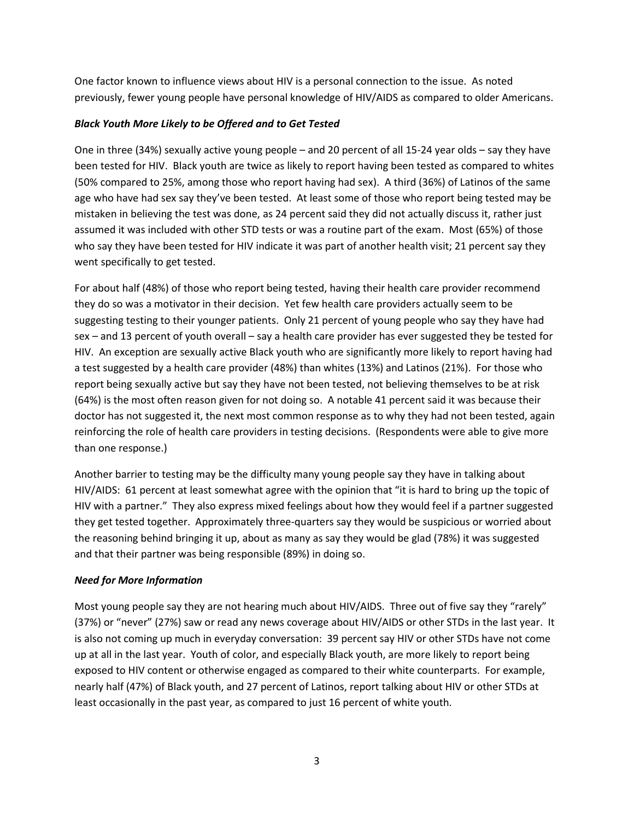One factor known to influence views about HIV is a personal connection to the issue. As noted previously, fewer young people have personal knowledge of HIV/AIDS as compared to older Americans.

## *Black Youth More Likely to be Offered and to Get Tested*

One in three (34%) sexually active young people – and 20 percent of all 15-24 year olds – say they have been tested for HIV. Black youth are twice as likely to report having been tested as compared to whites (50% compared to 25%, among those who report having had sex). A third (36%) of Latinos of the same age who have had sex say they've been tested. At least some of those who report being tested may be mistaken in believing the test was done, as 24 percent said they did not actually discuss it, rather just assumed it was included with other STD tests or was a routine part of the exam. Most (65%) of those who say they have been tested for HIV indicate it was part of another health visit; 21 percent say they went specifically to get tested.

For about half (48%) of those who report being tested, having their health care provider recommend they do so was a motivator in their decision. Yet few health care providers actually seem to be suggesting testing to their younger patients. Only 21 percent of young people who say they have had sex – and 13 percent of youth overall – say a health care provider has ever suggested they be tested for HIV. An exception are sexually active Black youth who are significantly more likely to report having had a test suggested by a health care provider (48%) than whites (13%) and Latinos (21%). For those who report being sexually active but say they have not been tested, not believing themselves to be at risk (64%) is the most often reason given for not doing so. A notable 41 percent said it was because their doctor has not suggested it, the next most common response as to why they had not been tested, again reinforcing the role of health care providers in testing decisions. (Respondents were able to give more than one response.)

Another barrier to testing may be the difficulty many young people say they have in talking about HIV/AIDS: 61 percent at least somewhat agree with the opinion that "it is hard to bring up the topic of HIV with a partner." They also express mixed feelings about how they would feel if a partner suggested they get tested together. Approximately three-quarters say they would be suspicious or worried about the reasoning behind bringing it up, about as many as say they would be glad (78%) it was suggested and that their partner was being responsible (89%) in doing so.

# *Need for More Information*

Most young people say they are not hearing much about HIV/AIDS. Three out of five say they "rarely" (37%) or "never" (27%) saw or read any news coverage about HIV/AIDS or other STDs in the last year. It is also not coming up much in everyday conversation: 39 percent say HIV or other STDs have not come up at all in the last year. Youth of color, and especially Black youth, are more likely to report being exposed to HIV content or otherwise engaged as compared to their white counterparts. For example, nearly half (47%) of Black youth, and 27 percent of Latinos, report talking about HIV or other STDs at least occasionally in the past year, as compared to just 16 percent of white youth.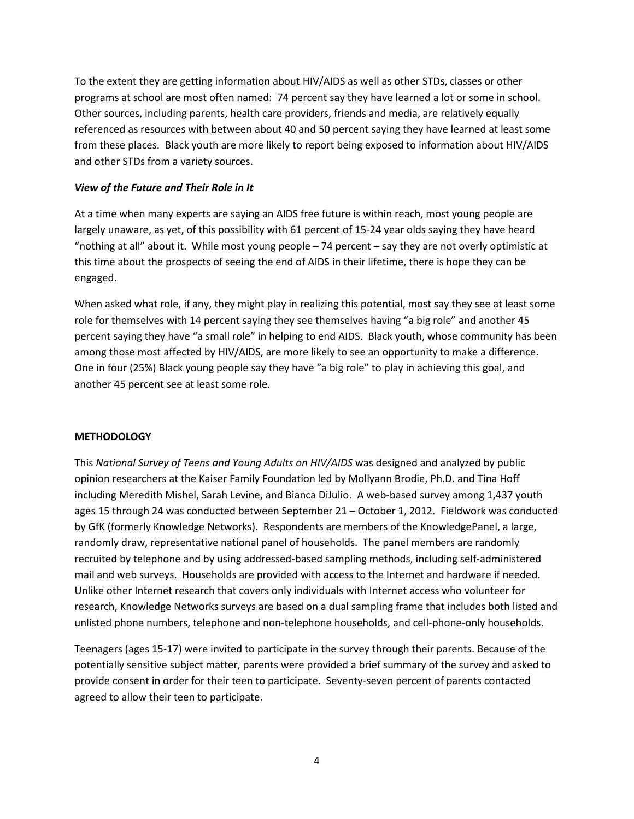To the extent they are getting information about HIV/AIDS as well as other STDs, classes or other programs at school are most often named: 74 percent say they have learned a lot or some in school. Other sources, including parents, health care providers, friends and media, are relatively equally referenced as resources with between about 40 and 50 percent saying they have learned at least some from these places. Black youth are more likely to report being exposed to information about HIV/AIDS and other STDs from a variety sources.

## *View of the Future and Their Role in It*

At a time when many experts are saying an AIDS free future is within reach, most young people are largely unaware, as yet, of this possibility with 61 percent of 15-24 year olds saying they have heard "nothing at all" about it. While most young people – 74 percent – say they are not overly optimistic at this time about the prospects of seeing the end of AIDS in their lifetime, there is hope they can be engaged.

When asked what role, if any, they might play in realizing this potential, most say they see at least some role for themselves with 14 percent saying they see themselves having "a big role" and another 45 percent saying they have "a small role" in helping to end AIDS. Black youth, whose community has been among those most affected by HIV/AIDS, are more likely to see an opportunity to make a difference. One in four (25%) Black young people say they have "a big role" to play in achieving this goal, and another 45 percent see at least some role.

#### **METHODOLOGY**

This *National Survey of Teens and Young Adults on HIV/AIDS* was designed and analyzed by public opinion researchers at the Kaiser Family Foundation led by Mollyann Brodie, Ph.D. and Tina Hoff including Meredith Mishel, Sarah Levine, and Bianca DiJulio. A web-based survey among 1,437 youth ages 15 through 24 was conducted between September 21 – October 1, 2012. Fieldwork was conducted by GfK (formerly Knowledge Networks). Respondents are members of the KnowledgePanel, a large, randomly draw, representative national panel of households. The panel members are randomly recruited by telephone and by using addressed-based sampling methods, including self-administered mail and web surveys. Households are provided with access to the Internet and hardware if needed. Unlike other Internet research that covers only individuals with Internet access who volunteer for research, Knowledge Networks surveys are based on a dual sampling frame that includes both listed and unlisted phone numbers, telephone and non-telephone households, and cell-phone-only households.

Teenagers (ages 15-17) were invited to participate in the survey through their parents. Because of the potentially sensitive subject matter, parents were provided a brief summary of the survey and asked to provide consent in order for their teen to participate. Seventy-seven percent of parents contacted agreed to allow their teen to participate.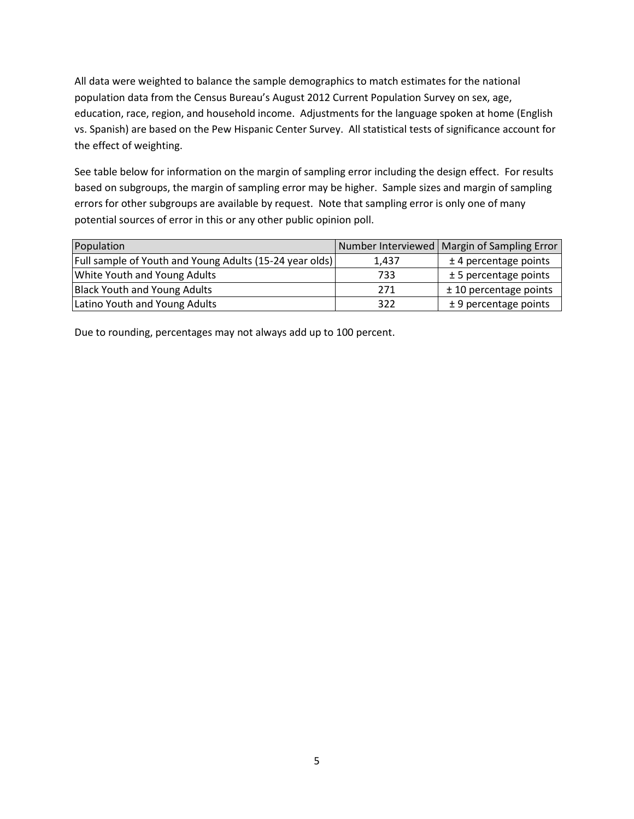All data were weighted to balance the sample demographics to match estimates for the national population data from the Census Bureau's August 2012 Current Population Survey on sex, age, education, race, region, and household income. Adjustments for the language spoken at home (English vs. Spanish) are based on the Pew Hispanic Center Survey. All statistical tests of significance account for the effect of weighting.

See table below for information on the margin of sampling error including the design effect. For results based on subgroups, the margin of sampling error may be higher. Sample sizes and margin of sampling errors for other subgroups are available by request. Note that sampling error is only one of many potential sources of error in this or any other public opinion poll.

| Population                                              |       | Number Interviewed   Margin of Sampling Error |
|---------------------------------------------------------|-------|-----------------------------------------------|
| Full sample of Youth and Young Adults (15-24 year olds) | 1.437 | $±$ 4 percentage points                       |
| <b>White Youth and Young Adults</b>                     | 733   | $± 5$ percentage points                       |
| <b>Black Youth and Young Adults</b>                     | 271   | $±$ 10 percentage points                      |
| Latino Youth and Young Adults                           | 322   | $± 9$ percentage points                       |

Due to rounding, percentages may not always add up to 100 percent.